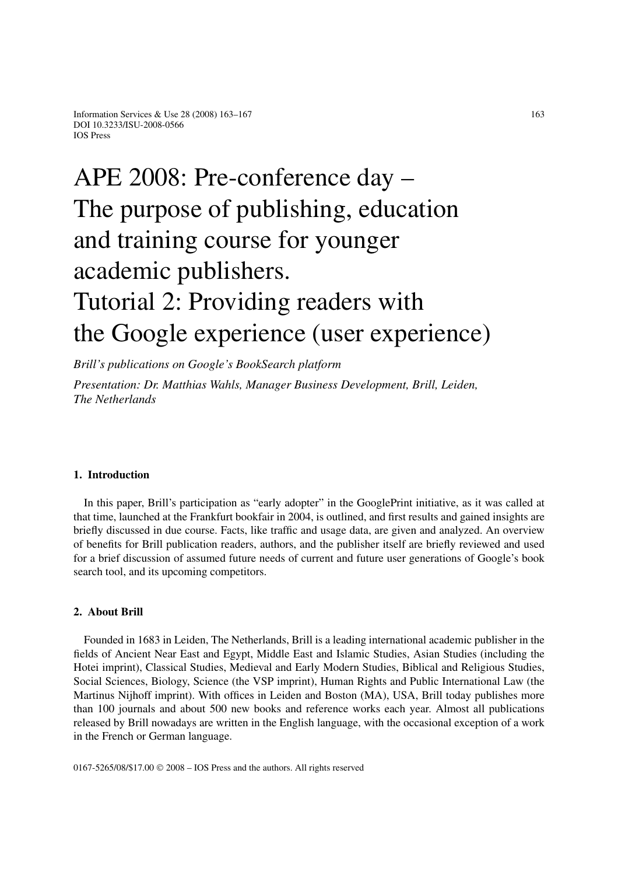# APE 2008: Pre-conference day – The purpose of publishing, education and training course for younger academic publishers. Tutorial 2: Providing readers with

# the Google experience (user experience)

*Brill's publications on Google's BookSearch platform*

*Presentation: Dr. Matthias Wahls, Manager Business Development, Brill, Leiden, The Netherlands*

## **1. Introduction**

In this paper, Brill's participation as "early adopter" in the GooglePrint initiative, as it was called at that time, launched at the Frankfurt bookfair in 2004, is outlined, and first results and gained insights are briefly discussed in due course. Facts, like traffic and usage data, are given and analyzed. An overview of benefits for Brill publication readers, authors, and the publisher itself are briefly reviewed and used for a brief discussion of assumed future needs of current and future user generations of Google's book search tool, and its upcoming competitors.

#### **2. About Brill**

Founded in 1683 in Leiden, The Netherlands, Brill is a leading international academic publisher in the fields of Ancient Near East and Egypt, Middle East and Islamic Studies, Asian Studies (including the Hotei imprint), Classical Studies, Medieval and Early Modern Studies, Biblical and Religious Studies, Social Sciences, Biology, Science (the VSP imprint), Human Rights and Public International Law (the Martinus Nijhoff imprint). With offices in Leiden and Boston (MA), USA, Brill today publishes more than 100 journals and about 500 new books and reference works each year. Almost all publications released by Brill nowadays are written in the English language, with the occasional exception of a work in the French or German language.

0167-5265/08/\$17.00 © 2008 – IOS Press and the authors. All rights reserved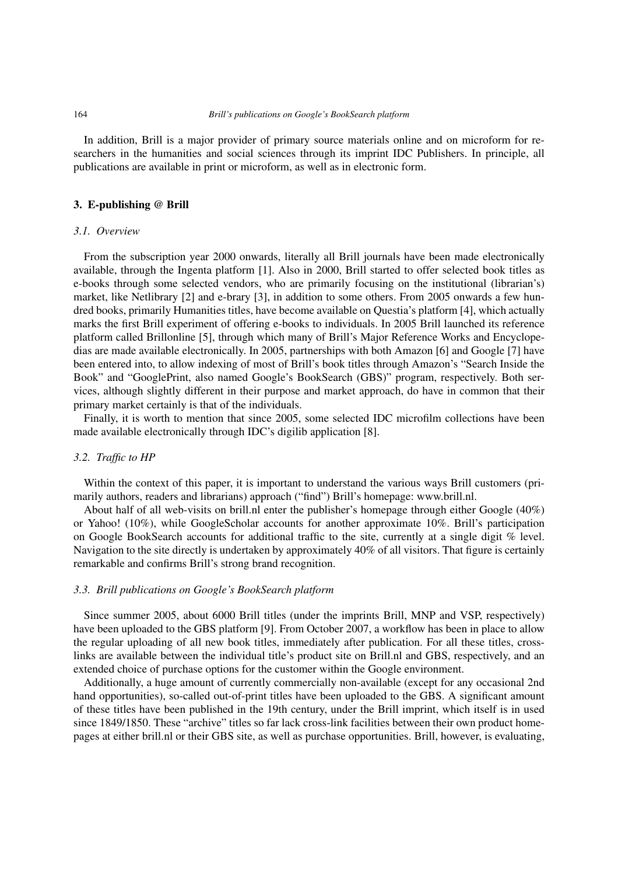In addition, Brill is a major provider of primary source materials online and on microform for researchers in the humanities and social sciences through its imprint IDC Publishers. In principle, all publications are available in print or microform, as well as in electronic form.

#### **3. E-publishing @ Brill**

#### *3.1. Overview*

From the subscription year 2000 onwards, literally all Brill journals have been made electronically available, through the Ingenta platform [1]. Also in 2000, Brill started to offer selected book titles as e-books through some selected vendors, who are primarily focusing on the institutional (librarian's) market, like Netlibrary [2] and e-brary [3], in addition to some others. From 2005 onwards a few hundred books, primarily Humanities titles, have become available on Questia's platform [4], which actually marks the first Brill experiment of offering e-books to individuals. In 2005 Brill launched its reference platform called Brillonline [5], through which many of Brill's Major Reference Works and Encyclopedias are made available electronically. In 2005, partnerships with both Amazon [6] and Google [7] have been entered into, to allow indexing of most of Brill's book titles through Amazon's "Search Inside the Book" and "GooglePrint, also named Google's BookSearch (GBS)" program, respectively. Both services, although slightly different in their purpose and market approach, do have in common that their primary market certainly is that of the individuals.

Finally, it is worth to mention that since 2005, some selected IDC microfilm collections have been made available electronically through IDC's digilib application [8].

#### *3.2. Traffic to HP*

Within the context of this paper, it is important to understand the various ways Brill customers (primarily authors, readers and librarians) approach ("find") Brill's homepage: www.brill.nl.

About half of all web-visits on brill.nl enter the publisher's homepage through either Google (40%) or Yahoo! (10%), while GoogleScholar accounts for another approximate 10%. Brill's participation on Google BookSearch accounts for additional traffic to the site, currently at a single digit % level. Navigation to the site directly is undertaken by approximately 40% of all visitors. That figure is certainly remarkable and confirms Brill's strong brand recognition.

#### *3.3. Brill publications on Google's BookSearch platform*

Since summer 2005, about 6000 Brill titles (under the imprints Brill, MNP and VSP, respectively) have been uploaded to the GBS platform [9]. From October 2007, a workflow has been in place to allow the regular uploading of all new book titles, immediately after publication. For all these titles, crosslinks are available between the individual title's product site on Brill.nl and GBS, respectively, and an extended choice of purchase options for the customer within the Google environment.

Additionally, a huge amount of currently commercially non-available (except for any occasional 2nd hand opportunities), so-called out-of-print titles have been uploaded to the GBS. A significant amount of these titles have been published in the 19th century, under the Brill imprint, which itself is in used since 1849/1850. These "archive" titles so far lack cross-link facilities between their own product homepages at either brill.nl or their GBS site, as well as purchase opportunities. Brill, however, is evaluating,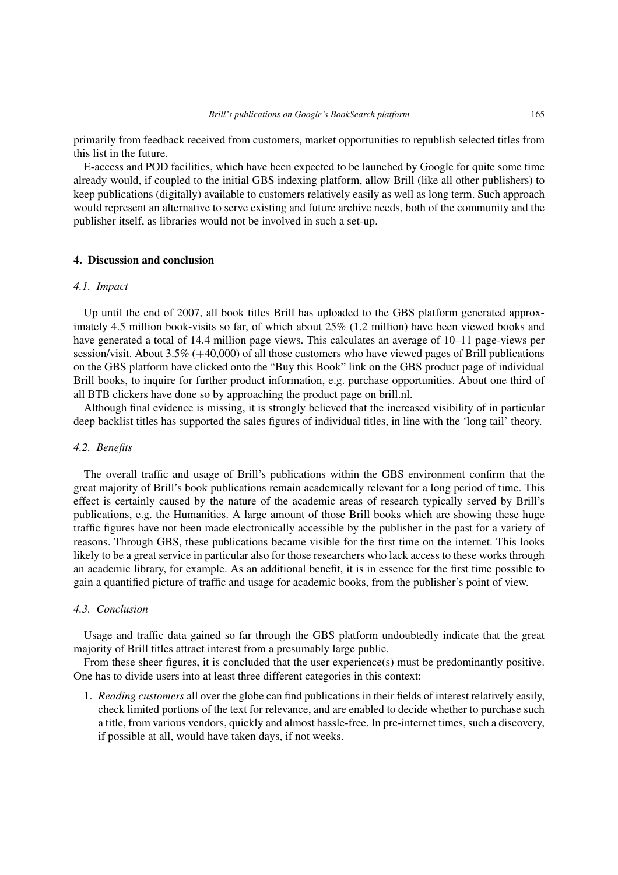primarily from feedback received from customers, market opportunities to republish selected titles from this list in the future.

E-access and POD facilities, which have been expected to be launched by Google for quite some time already would, if coupled to the initial GBS indexing platform, allow Brill (like all other publishers) to keep publications (digitally) available to customers relatively easily as well as long term. Such approach would represent an alternative to serve existing and future archive needs, both of the community and the publisher itself, as libraries would not be involved in such a set-up.

### **4. Discussion and conclusion**

# *4.1. Impact*

Up until the end of 2007, all book titles Brill has uploaded to the GBS platform generated approximately 4.5 million book-visits so far, of which about 25% (1.2 million) have been viewed books and have generated a total of 14.4 million page views. This calculates an average of 10–11 page-views per session/visit. About 3.5% (+40,000) of all those customers who have viewed pages of Brill publications on the GBS platform have clicked onto the "Buy this Book" link on the GBS product page of individual Brill books, to inquire for further product information, e.g. purchase opportunities. About one third of all BTB clickers have done so by approaching the product page on brill.nl.

Although final evidence is missing, it is strongly believed that the increased visibility of in particular deep backlist titles has supported the sales figures of individual titles, in line with the 'long tail' theory.

#### *4.2. Benefits*

The overall traffic and usage of Brill's publications within the GBS environment confirm that the great majority of Brill's book publications remain academically relevant for a long period of time. This effect is certainly caused by the nature of the academic areas of research typically served by Brill's publications, e.g. the Humanities. A large amount of those Brill books which are showing these huge traffic figures have not been made electronically accessible by the publisher in the past for a variety of reasons. Through GBS, these publications became visible for the first time on the internet. This looks likely to be a great service in particular also for those researchers who lack access to these works through an academic library, for example. As an additional benefit, it is in essence for the first time possible to gain a quantified picture of traffic and usage for academic books, from the publisher's point of view.

#### *4.3. Conclusion*

Usage and traffic data gained so far through the GBS platform undoubtedly indicate that the great majority of Brill titles attract interest from a presumably large public.

From these sheer figures, it is concluded that the user experience(s) must be predominantly positive. One has to divide users into at least three different categories in this context:

1. *Reading customers* all over the globe can find publications in their fields of interest relatively easily, check limited portions of the text for relevance, and are enabled to decide whether to purchase such a title, from various vendors, quickly and almost hassle-free. In pre-internet times, such a discovery, if possible at all, would have taken days, if not weeks.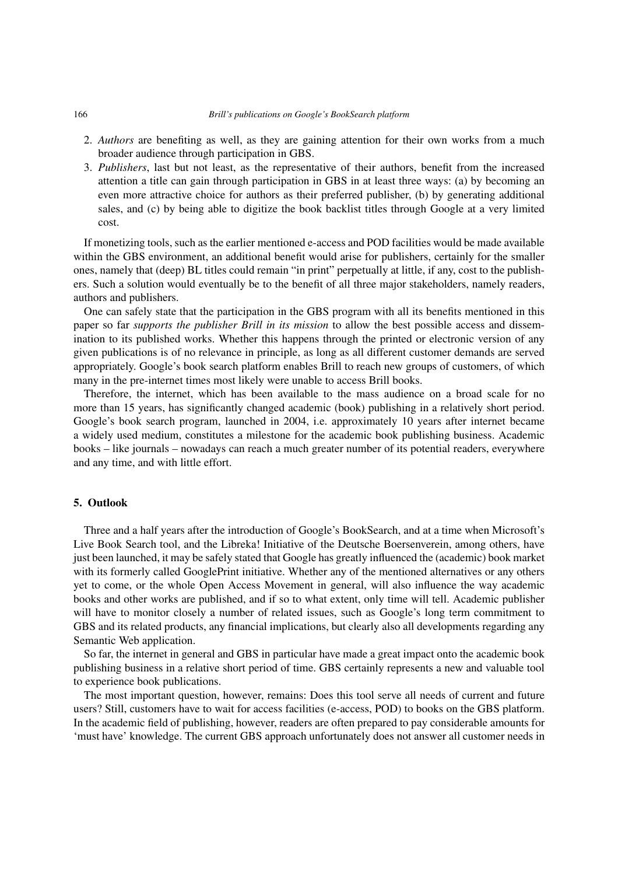- 2. *Authors* are benefiting as well, as they are gaining attention for their own works from a much broader audience through participation in GBS.
- 3. *Publishers*, last but not least, as the representative of their authors, benefit from the increased attention a title can gain through participation in GBS in at least three ways: (a) by becoming an even more attractive choice for authors as their preferred publisher, (b) by generating additional sales, and (c) by being able to digitize the book backlist titles through Google at a very limited cost.

If monetizing tools, such as the earlier mentioned e-access and POD facilities would be made available within the GBS environment, an additional benefit would arise for publishers, certainly for the smaller ones, namely that (deep) BL titles could remain "in print" perpetually at little, if any, cost to the publishers. Such a solution would eventually be to the benefit of all three major stakeholders, namely readers, authors and publishers.

One can safely state that the participation in the GBS program with all its benefits mentioned in this paper so far *supports the publisher Brill in its mission* to allow the best possible access and dissemination to its published works. Whether this happens through the printed or electronic version of any given publications is of no relevance in principle, as long as all different customer demands are served appropriately. Google's book search platform enables Brill to reach new groups of customers, of which many in the pre-internet times most likely were unable to access Brill books.

Therefore, the internet, which has been available to the mass audience on a broad scale for no more than 15 years, has significantly changed academic (book) publishing in a relatively short period. Google's book search program, launched in 2004, i.e. approximately 10 years after internet became a widely used medium, constitutes a milestone for the academic book publishing business. Academic books – like journals – nowadays can reach a much greater number of its potential readers, everywhere and any time, and with little effort.

### **5. Outlook**

Three and a half years after the introduction of Google's BookSearch, and at a time when Microsoft's Live Book Search tool, and the Libreka! Initiative of the Deutsche Boersenverein, among others, have just been launched, it may be safely stated that Google has greatly influenced the (academic) book market with its formerly called GooglePrint initiative. Whether any of the mentioned alternatives or any others yet to come, or the whole Open Access Movement in general, will also influence the way academic books and other works are published, and if so to what extent, only time will tell. Academic publisher will have to monitor closely a number of related issues, such as Google's long term commitment to GBS and its related products, any financial implications, but clearly also all developments regarding any Semantic Web application.

So far, the internet in general and GBS in particular have made a great impact onto the academic book publishing business in a relative short period of time. GBS certainly represents a new and valuable tool to experience book publications.

The most important question, however, remains: Does this tool serve all needs of current and future users? Still, customers have to wait for access facilities (e-access, POD) to books on the GBS platform. In the academic field of publishing, however, readers are often prepared to pay considerable amounts for 'must have' knowledge. The current GBS approach unfortunately does not answer all customer needs in